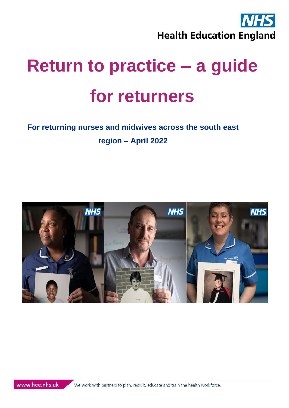

# **For returning nurses and midwives across the south east region – April 2022**

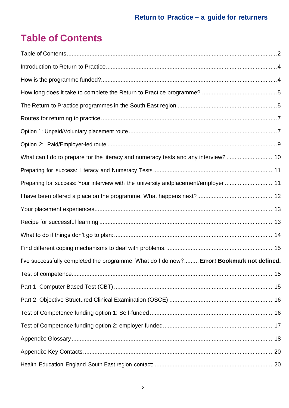# <span id="page-1-0"></span>**Table of Contents**

| What can I do to prepare for the literacy and numeracy tests and any interview? 10        |  |
|-------------------------------------------------------------------------------------------|--|
|                                                                                           |  |
| Preparing for success: Your interview with the university andplacement/employer 11        |  |
|                                                                                           |  |
|                                                                                           |  |
|                                                                                           |  |
|                                                                                           |  |
|                                                                                           |  |
| I've successfully completed the programme. What do I do now? Error! Bookmark not defined. |  |
|                                                                                           |  |
|                                                                                           |  |
|                                                                                           |  |
|                                                                                           |  |
|                                                                                           |  |
|                                                                                           |  |
|                                                                                           |  |
|                                                                                           |  |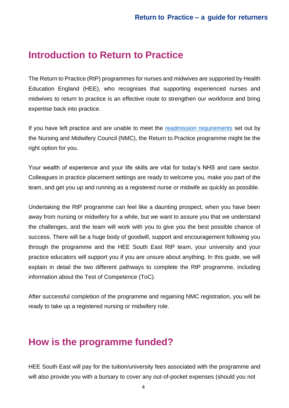### <span id="page-3-0"></span>**Introduction to Return to Practice**

The Return to Practice (RtP) programmes for nurses and midwives are supported by Health Education England (HEE), who recognises that supporting experienced nurses and midwives to return to practice is an effective route to strengthen our workforce and bring expertise back into practice.

If you have left practice and are unable to meet the [readmission requirements](https://www.nmc.org.uk/registration/returning-to-the-register/checklist-of-requirements/) set out by the Nursing and Midwifery Council (NMC), the Return to Practice programme might be the right option for you.

Your wealth of experience and your life skills are vital for today's NHS and care sector. Colleagues in practice placement settings are ready to welcome you, make you part of the team, and get you up and running as a registered nurse or midwife as quickly as possible.

Undertaking the RtP programme can feel like a daunting prospect, when you have been away from nursing or midwifery for a while, but we want to assure you that we understand the challenges, and the team will work with you to give you the best possible chance of success. There will be a huge body of goodwill, support and encouragement following you through the programme and the HEE South East RtP team, your university and your practice educators will support you if you are unsure about anything. In this guide, we will explain in detail the two different pathways to complete the RtP programme, including information about the Test of Competence (ToC).

After successful completion of the programme and regaining NMC registration, you will be ready to take up a registered nursing or midwifery role.

## <span id="page-3-1"></span>**How is the programme funded?**

HEE South East will pay for the tuition/university fees associated with the programme and will also provide you with a bursary to cover any out-of-pocket expenses (should you not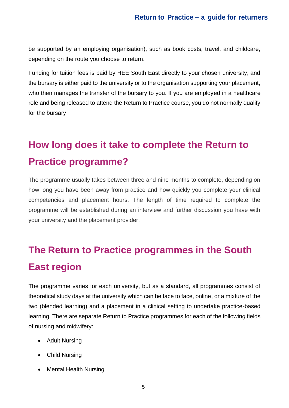be supported by an employing organisation), such as book costs, travel, and childcare, depending on the route you choose to return.

Funding for tuition fees is paid by HEE South East directly to your chosen university, and the bursary is either paid to the university or to the organisation supporting your placement, who then manages the transfer of the bursary to you. If you are employed in a healthcare role and being released to attend the Return to Practice course, you do not normally qualify for the bursary

# <span id="page-4-0"></span>**How long does it take to complete the Return to Practice programme?**

The programme usually takes between three and nine months to complete, depending on how long you have been away from practice and how quickly you complete your clinical competencies and placement hours. The length of time required to complete the programme will be established during an interview and further discussion you have with your university and the placement provider.

# <span id="page-4-1"></span>**The Return to Practice programmes in the South East region**

The programme varies for each university, but as a standard, all programmes consist of theoretical study days at the university which can be face to face, online, or a mixture of the two (blended learning) and a placement in a clinical setting to undertake practice-based learning. There are separate Return to Practice programmes for each of the following fields of nursing and midwifery:

- Adult Nursing
- Child Nursing
- Mental Health Nursing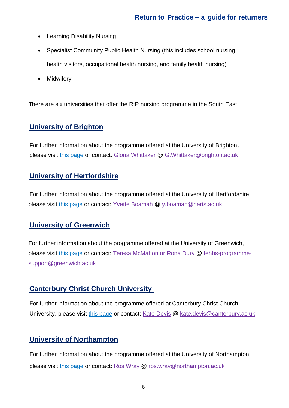- Learning Disability Nursing
- Specialist Community Public Health Nursing (this includes school nursing, health visitors, occupational health nursing, and family health nursing)
- Midwifery

There are six universities that offer the RtP nursing programme in the South East:

#### **University of Brighton**

For further information about the programme offered at the University of Brighton**,** please visit [this page](mailto:this%20page) or contact: [Gloria Whittaker](mailto:Gloria%20Whittaker) @ [G.Whittaker@brighton.ac.uk](mailto:G.Whittaker@brighton.ac.uk)

#### **University of Hertfordshire**

For further information about the programme offered at the University of Hertfordshire, please visit [this page](https://www.applycpd.com/HERTS/courses/109918?courseId=109918&tabId=3) or contact: [Yvette Boamah](mailto:y.boamah@herts.ac.uk) @ [y.boamah@herts.ac.uk](mailto:y.boamah@herts.ac.uk)

#### **University of Greenwich**

For further information about the programme offered at the University of Greenwich, please visit [this page](https://www.gre.ac.uk/opportunities/opportunities-repository/faculty-of-education-and-health/return-to-practice-for-nurses-programme) or contact: [Teresa McMahon or Rona Dury](mailto:fehhs-programme-support@greenwich.ac.uk?subject=Return%20to%20Practice%20for%20Nurses%20Programme) @ [fehhs-programme](mailto:fehhs-programme-support@greenwich.ac.uk)[support@greenwich.ac.uk](mailto:fehhs-programme-support@greenwich.ac.uk)

#### **Canterbury Christ Church University**

For further information about the programme offered at Canterbury Christ Church University, please visit [this page](https://www.canterbury.ac.uk/study-here/courses/postgraduate/return-to-practice) or contact: [Kate Devis](mailto:kate.devis@canterbury.ac.uk?subject=Return%20to%20Practice) @ [kate.devis@canterbury.ac.uk](mailto:kate.devis@canterbury.ac.uk)

#### **University of Northampton**

For further information about the programme offered at the University of Northampton, please visit [this page](https://www.northampton.ac.uk/courses/return-to-professional-practice/) or contact: [Ros Wray](mailto:ros.wray@northampton.ac.uk?subject=Return%20to%20Professional%20Practice) @ [ros.wray@northampton.ac.uk](mailto:ros.wray@northampton.ac.uk)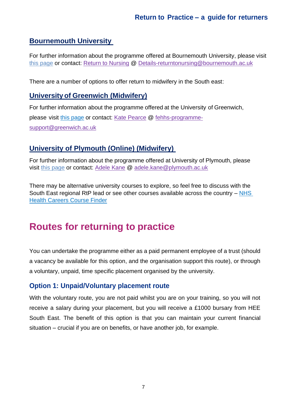#### **Bournemouth University**

For further information about the programme offered at Bournemouth University, please visit [this page](https://www.applycpd.com/BU/courses/111376?courseId=111376&tabId=27) or contact: [Return to Nursing](mailto:Details-returntonursing@bournemouth.ac.uk) @ [Details-returntonursing@bournemouth.ac.uk](mailto:Details-returntonursing@bournemouth.ac.uk)

There are a number of options to offer return to midwifery in the South east:

#### **Universityof Greenwich (Midwifery)**

For further information about the programme offered at the University of Greenwich, please visit [this page](https://www.gre.ac.uk/) or contact: [Kate Pearce](mailto:Kate%20Pearce) @ [fehhs-programme](mailto:fehhs-programme-support@greenwich.ac.uk)[support@greenwich.ac.uk](mailto:fehhs-programme-support@greenwich.ac.uk)

#### **University of Plymouth (Online) (Midwifery)**

For further information about the programme offered at University of Plymouth, please visit [this page](mailto:this%20page) or contact: [Adele Kane](mailto:adele.kane@plymouth.ac.uk?subject=Return%20to%20Practice) @ [adele.kane@plymouth.ac.uk](mailto:adele.kane@plymouth.ac.uk)

There may be alternative university courses to explore, so feel free to discuss with the South East regional RtP lead or see other courses available across the country – [NHS](https://www.healthcareers.nhs.uk/career-planning/course-finder?field_leading_to_a_career_in_tid=162&field_region_tid=8&field_qualification_type_tid=3196&field_study_mode_tid=All&items_per_page=25)  [Health Careers Course Finder](https://www.healthcareers.nhs.uk/career-planning/course-finder?field_leading_to_a_career_in_tid=162&field_region_tid=8&field_qualification_type_tid=3196&field_study_mode_tid=All&items_per_page=25)

## <span id="page-6-0"></span>**Routes for returning to practice**

You can undertake the programme either as a paid permanent employee of a trust (should a vacancy be available for this option, and the organisation support this route), or through a voluntary, unpaid, time specific placement organised by the university.

#### <span id="page-6-1"></span>**Option 1: Unpaid/Voluntary placement route**

With the voluntary route, you are not paid whilst you are on your training, so you will not receive a salary during your placement, but you will receive a £1000 bursary from HEE South East. The benefit of this option is that you can maintain your current financial situation – crucial if you are on benefits, or have another job, for example.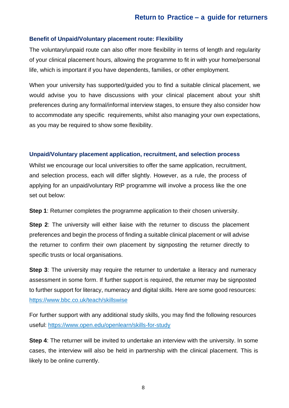#### **Benefit of Unpaid/Voluntary placement route: Flexibility**

The voluntary/unpaid route can also offer more flexibility in terms of length and regularity of your clinical placement hours, allowing the programme to fit in with your home/personal life, which is important if you have dependents, families, or other employment.

When your university has supported/guided you to find a suitable clinical placement, we would advise you to have discussions with your clinical placement about your shift preferences during any formal/informal interview stages, to ensure they also consider how to accommodate any specific requirements, whilst also managing your own expectations, as you may be required to show some flexibility.

#### **Unpaid/Voluntary placement application, recruitment, and selection process**

Whilst we encourage our local universities to offer the same application, recruitment, and selection process, each will differ slightly. However, as a rule, the process of applying for an unpaid/voluntary RtP programme will involve a process like the one set out below:

**Step 1**: Returner completes the programme application to their chosen university.

**Step 2:** The university will either liaise with the returner to discuss the placement preferences and begin the process of finding a suitable clinical placement or will advise the returner to confirm their own placement by signposting the returner directly to specific trusts or local organisations.

**Step 3:** The university may require the returner to undertake a literacy and numeracy assessment in some form. If further support is required, the returner may be signposted to further support for literacy, numeracy and digital skills. Here are some good resources: <https://www.bbc.co.uk/teach/skillswise>

For further support with any additional study skills, you may find the following resources useful:<https://www.open.edu/openlearn/skills-for-study>

**Step 4**: The returner will be invited to undertake an interview with the university. In some cases, the interview will also be held in partnership with the clinical placement. This is likely to be online currently.

8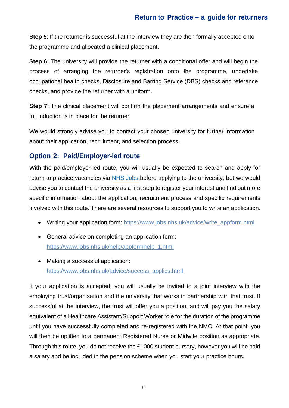**Step 5:** If the returner is successful at the interview they are then formally accepted onto the programme and allocated a clinical placement.

**Step 6**: The university will provide the returner with a conditional offer and will begin the process of arranging the returner's registration onto the programme, undertake occupational health checks, Disclosure and Barring Service (DBS) checks and reference checks, and provide the returner with a uniform.

**Step 7:** The clinical placement will confirm the placement arrangements and ensure a full induction is in place for the returner.

We would strongly advise you to contact your chosen university for further information about their application, recruitment, and selection process.

#### <span id="page-8-0"></span>**Option 2: Paid/Employer-led route**

With the paid/employer-led route, you will usually be expected to search and apply for return to practice vacancies via [NHS Jobs b](https://www.jobs.nhs.uk/)efore applying to the university, but we would advise you to contact the university as a first step to register your interest and find out more specific information about the application, recruitment process and specific requirements involved with this route. There are several resources to support you to write an application.

- Writing your application form: [https://www.jobs.nhs.uk/advice/write\\_appform.html](https://www.jobs.nhs.uk/advice/write_appform.html)
- General advice on completing an application form: [https://www.jobs.nhs.uk/help/appformhelp\\_1.html](https://www.jobs.nhs.uk/help/appformhelp_1.html)
- Making a successful application: [https://www.jobs.nhs.uk/advice/success\\_applics.html](https://www.jobs.nhs.uk/advice/success_applics.html)

If your application is accepted, you will usually be invited to a joint interview with the employing trust/organisation and the university that works in partnership with that trust. If successful at the interview, the trust will offer you a position, and will pay you the salary equivalent of a Healthcare Assistant/Support Worker role for the duration of the programme until you have successfully completed and re-registered with the NMC. At that point, you will then be uplifted to a permanent Registered Nurse or Midwife position as appropriate. Through this route, you do not receive the £1000 student bursary, however you will be paid a salary and be included in the pension scheme when you start your practice hours.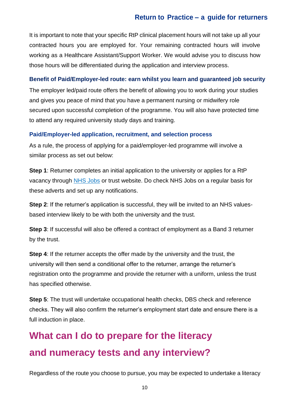It is important to note that your specific RtP clinical placement hours will not take up all your contracted hours you are employed for. Your remaining contracted hours will involve working as a Healthcare Assistant/Support Worker. We would advise you to discuss how those hours will be differentiated during the application and interview process.

#### **Benefit of Paid/Employer-led route: earn whilst you learn and guaranteed job security**

The employer led/paid route offers the benefit of allowing you to work during your studies and gives you peace of mind that you have a permanent nursing or midwifery role secured upon successful completion of the programme. You will also have protected time to attend any required university study days and training.

#### **Paid/Employer-led application, recruitment, and selection process**

As a rule, the process of applying for a paid/employer-led programme will involve a similar process as set out below:

**Step 1**: Returner completes an initial application to the university or applies for a RtP vacancy through [NHS Jobs](https://www.jobs.nhs.uk/) or trust website. Do check NHS Jobs on a regular basis for these adverts and set up any notifications.

**Step 2:** If the returner's application is successful, they will be invited to an NHS valuesbased interview likely to be with both the university and the trust.

**Step 3**: If successful will also be offered a contract of employment as a Band 3 returner by the trust.

**Step 4**: If the returner accepts the offer made by the university and the trust, the university will then send a conditional offer to the returner, arrange the returner's registration onto the programme and provide the returner with a uniform, unless the trust has specified otherwise.

**Step 5:** The trust will undertake occupational health checks, DBS check and reference checks. They will also confirm the returner's employment start date and ensure there is a full induction in place.

# <span id="page-9-0"></span>**What can I do to prepare for the literacy and numeracy tests and any interview?**

Regardless of the route you choose to pursue, you may be expected to undertake a literacy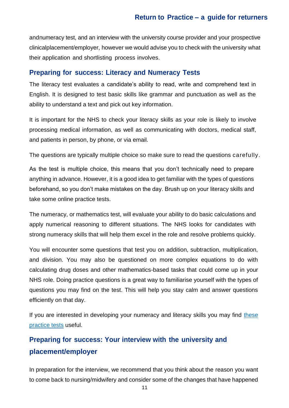and numeracy test, and an interview with the university course provider and your prospective clinicalplacement/employer, however we would advise you to check with the university what their application and shortlisting process involves.

#### <span id="page-10-0"></span>**Preparing for success: Literacy and Numeracy Tests**

The literacy test evaluates a candidate's ability to read, write and comprehend text in English. It is designed to test basic skills like grammar and punctuation as well as the ability to understand a text and pick out key information.

It is important for the NHS to check your literacy skills as your role is likely to involve processing medical information, as well as communicating with doctors, medical staff, and patients in person, by phone, or via email.

The questions are typically multiple choice so make sure to read the questions carefully.

As the test is multiple choice, this means that you don't technically need to prepare anything in advance. However, it is a good idea to get familiar with the types of questions beforehand, so you don't make mistakes on the day. Brush up on your literacy skills and take some online practice tests.

The numeracy, or mathematics test, will evaluate your ability to do basic calculations and apply numerical reasoning to different situations. The NHS looks for candidates with strong numeracy skills that will help them excel in the role and resolve problems quickly.

You will encounter some questions that test you on addition, subtraction, multiplication, and division. You may also be questioned on more complex equations to do with calculating drug doses and other mathematics-based tasks that could come up in your NHS role. Doing practice questions is a great way to familiarise yourself with the types of questions you may find on the test. This will help you stay calm and answer questions efficiently on that day.

If you are interested in developing your numeracy and literacy skills you may find these [practice tests](https://snap-ae.com/hca-nhs-maths-english.php) useful.

### <span id="page-10-1"></span>**Preparing for success: Your interview with the university and placement/employer**

In preparation for the interview, we recommend that you think about the reason you want to come back to nursing/midwifery and consider some of the changes that have happened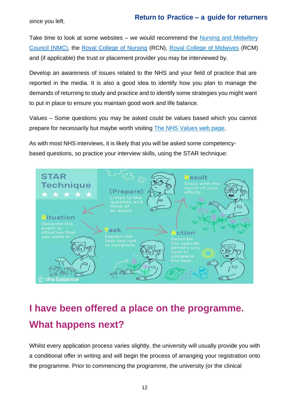since you left.

Take time to look at some websites – we would recommend the [Nursing and Midwifery](https://www.nmc.org.uk/) [Council \(NMC\),](https://www.nmc.org.uk/) the [Royal College of Nursing](https://www.rcn.org.uk/) (RCN), [Royal College of Midwives](http://www.rcm.org.uk/) (RCM) and (if applicable) the trust or placement provider you may be interviewed by.

Develop an awareness of issues related to the NHS and your field of practice that are reported in the media. It is also a good idea to identify how you plan to manage the demands of returning to study and practice and to identify some strategies you might want to put in place to ensure you maintain good work and life balance.

Values – Some questions you may be asked could be values based which you cannot prepare for necessarily but maybe worth visiting [The NHS Values web page.](https://www.healthcareers.nhs.uk/working-health/working-nhs/nhs-constitution)

As with most NHS interviews, it is likely that you will be asked some competencybased questions, so practice your interview skills, using the STAR technique:



# <span id="page-11-0"></span>**I have been offered a place on the programme. What happens next?**

Whilst every application process varies slightly, the university will usually provide you with a conditional offer in writing and will begin the process of arranging your registration onto the programme. Prior to commencing the programme, the university (or the clinical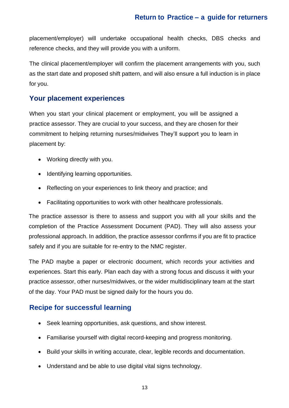placement/employer) will undertake occupational health checks, DBS checks and reference checks, and they will provide you with a uniform.

The clinical placement/employer will confirm the placement arrangements with you, such as the start date and proposed shift pattern, and will also ensure a full induction is in place for you.

#### <span id="page-12-0"></span>**Your placement experiences**

When you start your clinical placement or employment, you will be assigned a practice assessor. They are crucial to your success, and they are chosen for their commitment to helping returning nurses/midwives They'll support you to learn in placement by:

- Working directly with you.
- Identifying learning opportunities.
- Reflecting on your experiences to link theory and practice; and
- Facilitating opportunities to work with other healthcare professionals.

The practice assessor is there to assess and support you with all your skills and the completion of the Practice Assessment Document (PAD). They will also assess your professional approach. In addition, the practice assessor confirms if you are fit to practice safely and if you are suitable for re-entry to the NMC register.

The PAD maybe a paper or electronic document, which records your activities and experiences. Start this early. Plan each day with a strong focus and discuss it with your practice assessor, other nurses/midwives, or the wider multidisciplinary team at the start of the day. Your PAD must be signed daily for the hours you do.

#### <span id="page-12-1"></span>**Recipe for successful learning**

- Seek learning opportunities, ask questions, and show interest.
- Familiarise yourself with digital record-keeping and progress monitoring.
- Build your skills in writing accurate, clear, legible records and documentation.
- Understand and be able to use digital vital signs technology.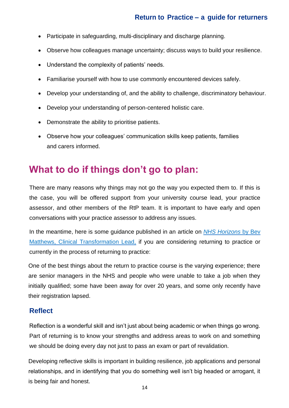- Participate in safeguarding, multi-disciplinary and discharge planning.
- Observe how colleagues manage uncertainty; discuss ways to build your resilience.
- Understand the complexity of patients' needs.
- Familiarise yourself with how to use commonly encountered devices safely.
- Develop your understanding of, and the ability to challenge, discriminatory behaviour.
- Develop your understanding of person-centered holistic care.
- Demonstrate the ability to prioritise patients.
- Observe how your colleagues' communication skills keep patients, families and carers informed.

# <span id="page-13-0"></span>**What to do if things don't go to plan:**

There are many reasons why things may not go the way you expected them to. If this is the case, you will be offered support from your university course lead, your practice assessor, and other members of the RtP team. It is important to have early and open conversations with your practice assessor to address any issues.

In the meantime, here is some guidance published in an article on *[NHS Horizons](https://nhshorizons.passle.net/post/102fokb/return-to-practice-it-may-be-tough-but-its-worth-it)* by Bev [Matthews, Clinical Transformation Lead,](https://nhshorizons.passle.net/post/102fokb/return-to-practice-it-may-be-tough-but-its-worth-it) if you are considering returning to practice or currently in the process of returning to practice:

One of the best things about the return to practice course is the varying experience; there are senior managers in the NHS and people who were unable to take a job when they initially qualified; some have been away for over 20 years, and some only recently have their registration lapsed.

#### **Reflect**

Reflection is a wonderful skill and isn't just about being academic or when things go wrong. Part of returning is to know your strengths and address areas to work on and something we should be doing every day not just to pass an exam or part of revalidation.

Developing reflective skills is important in building resilience, job applications and personal relationships, and in identifying that you do something well isn't big headed or arrogant, it is being fair and honest.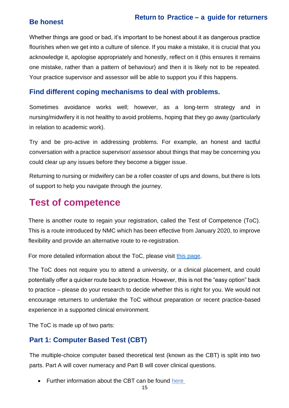#### **Be honest**

#### **Return to Practice – a guide for returners**

Whether things are good or bad, it's important to be honest about it as dangerous practice flourishes when we get into a culture of silence. If you make a mistake, it is crucial that you acknowledge it, apologise appropriately and honestly, reflect on it (this ensures it remains one mistake, rather than a pattern of behaviour) and then it is likely not to be repeated. Your practice supervisor and assessor will be able to support you if this happens.

#### <span id="page-14-0"></span>**Find different coping mechanisms to deal with problems.**

Sometimes avoidance works well; however, as a long-term strategy and in nursing/midwifery it is not healthy to avoid problems, hoping that they go away (particularly in relation to academic work).

Try and be pro-active in addressing problems. For example, an honest and tactful conversation with a practice supervisor/ assessor about things that may be concerning you could clear up any issues before they become a bigger issue.

Returning to nursing or midwifery can be a roller coaster of ups and downs, but there is lots of support to help you navigate through the journey.

# <span id="page-14-1"></span>**Test of competence**

There is another route to regain your registration, called the Test of Competence (ToC). This is a route introduced by NMC which has been effective from January 2020, to improve flexibility and provide an alternative route to re-registration.

For more detailed information about the ToC, please visit [this page.](https://www.nmc.org.uk/registration/returning-to-the-register/return-test-of-competence/)

The ToC does not require you to attend a university, or a clinical placement, and could potentially offer a quicker route back to practice. However, this is not the "easy option" back to practice – please do your research to decide whether this is right for you. We would not encourage returners to undertake the ToC without preparation or recent practice-based experience in a supported clinical environment.

The ToC is made up of two parts:

#### <span id="page-14-2"></span>**Part 1: Computer Based Test (CBT)**

The multiple-choice computer based theoretical test (known as the CBT) is split into two parts. Part A will cover numeracy and Part B will cover clinical questions.

• Further information about the CBT can be found [here](https://www.nmc.org.uk/registration/joining-the-register/toc/toc-2021/cbt/)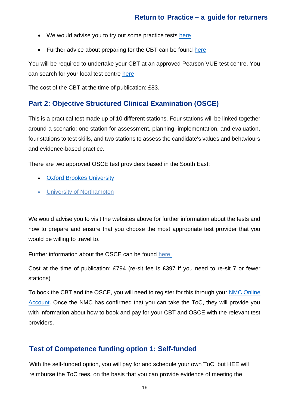- We would advise you to try out some practice tests [here](https://home.pearsonvue.com/nmc/practicetests)
- Further advice about preparing for the CBT can be found [here](https://home.pearsonvue.com/Test-takers/Resources.aspx#what-to-expect)

You will be required to undertake your CBT at an approved Pearson VUE test centre. You can search for your local test centre [here](https://home.pearsonvue.com/nmc)

The cost of the CBT at the time of publication: £83.

#### <span id="page-15-0"></span>**Part 2: Objective Structured Clinical Examination (OSCE)**

This is a practical test made up of 10 different stations. Four stations will be linked together around a scenario: one station for assessment, planning, implementation, and evaluation, four stations to test skills, and two stations to assess the candidate's values and behaviours and evidence-based practice.

There are two approved OSCE test providers based in the South East:

- [Oxford Brookes University](http://www.brookes.ac.uk/nmc-test-of-competence/)
- [University of Northampton](https://www.northampton.ac.uk/about-us/services-and-facilities/competence-test-centre/)

We would advise you to visit the websites above for further information about the tests and how to prepare and ensure that you choose the most appropriate test provider that you would be willing to travel to.

Further information about the OSCE can be found [here](https://www.nmc.org.uk/registration/joining-the-register/toc/toc-2021/osce/)

Cost at the time of publication: £794 (re-sit fee is £397 if you need to re-sit 7 or fewer stations)

To book the CBT and the OSCE, you will need to register for this through your [NMC Online](https://www.nmc.org.uk/registration/nmc-online/) [Account.](https://www.nmc.org.uk/registration/nmc-online/) Once the NMC has confirmed that you can take the ToC, they will provide you with information about how to book and pay for your CBT and OSCE with the relevant test providers.

#### <span id="page-15-1"></span>**Test of Competence funding option 1: Self-funded**

With the self-funded option, you will pay for and schedule your own ToC, but HEE will reimburse the ToC fees, on the basis that you can provide evidence of meeting the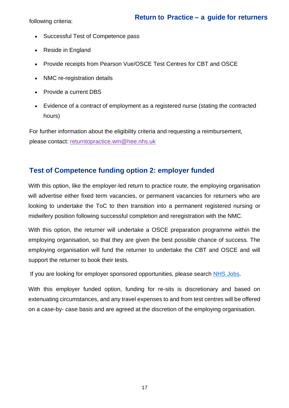following criteria:

- Successful Test of Competence pass
- Reside in England
- Provide receipts from Pearson Vue/OSCE Test Centres for CBT and OSCE
- NMC re-registration details
- Provide a current DBS
- Evidence of a contract of employment as a registered nurse (stating the contracted hours)

For further information about the eligibility criteria and requesting a reimbursement, please contact: [returntopractice.wm@hee.nhs.uk](mailto:returntopractice.wm@hee.nhs.uk)

#### <span id="page-16-0"></span>**Test of Competence funding option 2: employer funded**

With this option, like the employer-led return to practice route, the employing organisation will advertise either fixed term vacancies, or permanent vacancies for returners who are looking to undertake the ToC to then transition into a permanent registered nursing or midwifery position following successful completion and reregistration with the NMC.

With this option, the returner will undertake a OSCE preparation programme within the employing organisation, so that they are given the best possible chance of success. The employing organisation will fund the returner to undertake the CBT and OSCE and will support the returner to book their tests.

If you are looking for employer sponsored opportunities, please search [NHS Jobs.](https://www.jobs.nhs.uk/)

With this employer funded option, funding for re-sits is discretionary and based on extenuating circumstances, and any travel expenses to and from test centres will be offered on a case-by- case basis and are agreed at the discretion of the employing organisation.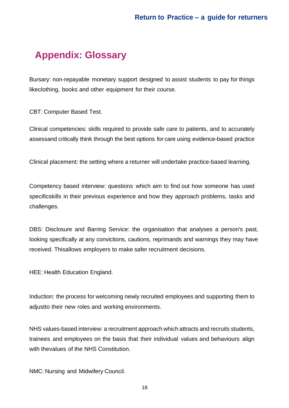# <span id="page-17-0"></span>**Appendix: Glossary**

Bursary: non-repayable monetary support designed to assist students to pay for things likeclothing, books and other equipment for their course.

CBT: Computer Based Test.

Clinical competencies: skills required to provide safe care to patients, and to accurately assessand critically think through the best options for care using evidence-based practice

Clinical placement: the setting where a returner will undertake practice-based learning.

Competency based interview: questions which aim to find out how someone has used specificskills in their previous experience and how they approach problems, tasks and challenges.

DBS: Disclosure and Barring Service: the organisation that analyses a person's past, looking specifically at any convictions, cautions, reprimands and warnings they may have received. Thisallows employers to make safer recruitment decisions.

HEE: Health Education England.

Induction: the process for welcoming newly recruited employees and supporting them to adjustto their new roles and working environments.

NHS values-based interview: a recruitment approach which attracts and recruits students, trainees and employees on the basis that their individual values and behaviours align with thevalues of the NHS Constitution.

NMC: Nursing and Midwifery Council.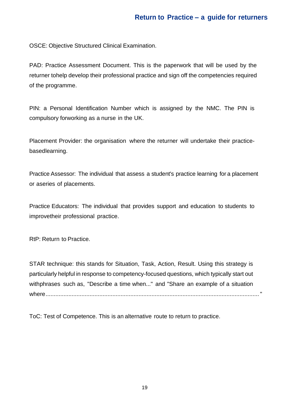OSCE: Objective Structured Clinical Examination.

PAD: Practice Assessment Document. This is the paperwork that will be used by the returner tohelp develop their professional practice and sign off the competencies required of the programme.

PIN: a Personal Identification Number which is assigned by the NMC. The PIN is compulsory forworking as a nurse in the UK.

Placement Provider: the organisation where the returner will undertake their practicebasedlearning.

Practice Assessor: The individual that assess a student's practice learning for a placement or aseries of placements.

Practice Educators: The individual that provides support and education to students to improvetheir professional practice.

RtP: Return to Practice.

STAR technique: this stands for Situation, Task, Action, Result. Using this strategy is particularly helpful in response to competency-focused questions, which typically start out withphrases such as, "Describe a time when..." and "Share an example of a situation where..................................................................................................................................."

ToC: Test of Competence. This is an alternative route to return to practice.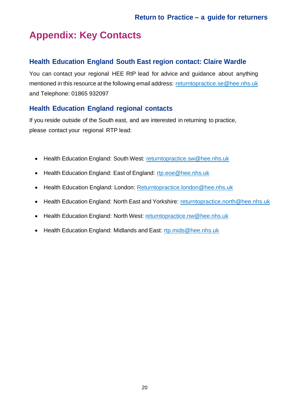# <span id="page-19-0"></span>**Appendix: Key Contacts**

#### <span id="page-19-1"></span>**Health Education England South East region contact: Claire Wardle**

You can contact your regional HEE RtP lead for advice and guidance about anything mentioned in this resource at the following email address: returntopractice.se@hee.nhs.uk and Telephone: 01865 932097

#### <span id="page-19-2"></span>**Health Education England regional contacts**

If you reside outside of the South east, and are interested in returning to practice, please contact your regional RTP lead:

- Health Education England: South West: [returntopractice.sw@hee.nhs.uk](mailto:returntopractice.sw@hee.nhs.uk)
- Health Education England: East of England: [rtp.eoe@hee.nhs.uk](mailto:rtp.eoe@hee.nhs.uk)
- Health Education England: London: [Returntopractice.london@hee.nhs.uk](mailto:Returntopractice.london@hee.nhs.uk)
- Health Education England: North East and Yorkshire: [returntopractice.north@hee.nhs.uk](mailto:returntopractice.north@hee.nhs.uk)
- Health Education England: North West: [returntopractice.nw@hee.nhs.uk](mailto:returntopractice.nw@hee.nhs.uk)
- Health Education England: Midlands and East: [rtp.mids@hee.nhs.uk](mailto:rtp.mids@hee.nhs.uk)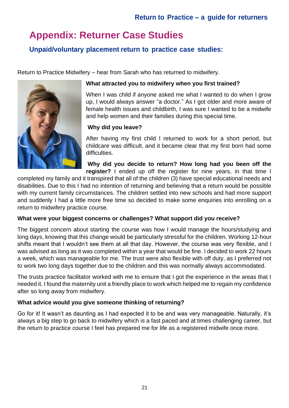# <span id="page-20-0"></span>**Appendix: Returner Case Studies**

#### <span id="page-20-1"></span>**Unpaid/voluntary placement return to practice case studies:**

Return to Practice Midwifery – hear from Sarah who has returned to midwifery.



#### **What attracted you to midwifery when you first trained?**

When I was child if anyone asked me what I wanted to do when I grow up, I would always answer "a doctor." As I got older and more aware of female health issues and childbirth, I was sure I wanted to be a midwife and help women and their families during this special time.

#### **Why did you leave?**

After having my first child I returned to work for a short period, but childcare was difficult, and it became clear that my first born had some difficulties.

**Why did you decide to return? How long had you been off the register?** I ended up off the register for nine years, in that time I

completed my family and it transpired that all of the children (3) have special educational needs and disabilities. Due to this I had no intention of returning and believing that a return would be possible with my current family circumstances. The children settled into new schools and had more support and suddenly I had a little more free time so decided to make some enquiries into enrolling on a return to midwifery practice course.

#### **What were your biggest concerns or challenges? What support did you receive?**

The biggest concern about starting the course was how I would manage the hours/studying and long days, knowing that this change would be particularly stressful for the children. Working 12-hour shifts meant that I wouldn't see them at all that day. However, the course was very flexible, and I was advised as long as it was completed within a year that would be fine. I decided to work 22 hours a week, which was manageable for me. The trust were also flexible with off duty, as I preferred not to work two long days together due to the children and this was normally always accommodated.

The trusts practice facilitator worked with me to ensure that I got the experience in the areas that I needed it. I found the maternity unit a friendly place to work which helped me to regain my confidence after so long away from midwifery.

#### **What advice would you give someone thinking of returning?**

Go for it! It wasn't as daunting as I had expected it to be and was very manageable. Naturally, it's always a big step to go back to midwifery which is a fast paced and at times challenging career, but the return to practice course I feel has prepared me for life as a registered midwife once more.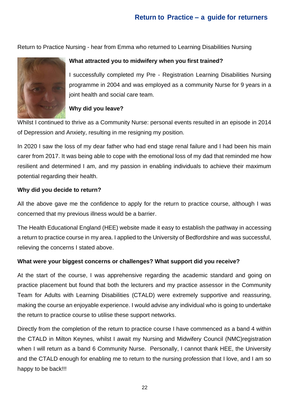Return to Practice Nursing - hear from Emma who returned to Learning Disabilities Nursing



#### **What attracted you to midwifery when you first trained?**

I successfully completed my Pre - Registration Learning Disabilities Nursing programme in 2004 and was employed as a community Nurse for 9 years in a joint health and social care team.

#### **Why did you leave?**

Whilst I continued to thrive as a Community Nurse: personal events resulted in an episode in 2014 of Depression and Anxiety, resulting in me resigning my position.

In 2020 I saw the loss of my dear father who had end stage renal failure and I had been his main carer from 2017. It was being able to cope with the emotional loss of my dad that reminded me how resilient and determined I am, and my passion in enabling individuals to achieve their maximum potential regarding their health.

#### **Why did you decide to return?**

All the above gave me the confidence to apply for the return to practice course, although I was concerned that my previous illness would be a barrier.

The Health Educational England (HEE) website made it easy to establish the pathway in accessing a return to practice course in my area. I applied to the University of Bedfordshire and was successful, relieving the concerns I stated above.

#### **What were your biggest concerns or challenges? What support did you receive?**

At the start of the course, I was apprehensive regarding the academic standard and going on practice placement but found that both the lecturers and my practice assessor in the Community Team for Adults with Learning Disabilities (CTALD) were extremely supportive and reassuring, making the course an enjoyable experience. I would advise any individual who is going to undertake the return to practice course to utilise these support networks.

Directly from the completion of the return to practice course I have commenced as a band 4 within the CTALD in Milton Keynes, whilst I await my Nursing and Midwifery Council (NMC)registration when I will return as a band 6 Community Nurse. Personally, I cannot thank HEE, the University and the CTALD enough for enabling me to return to the nursing profession that I love, and I am so happy to be back!!!